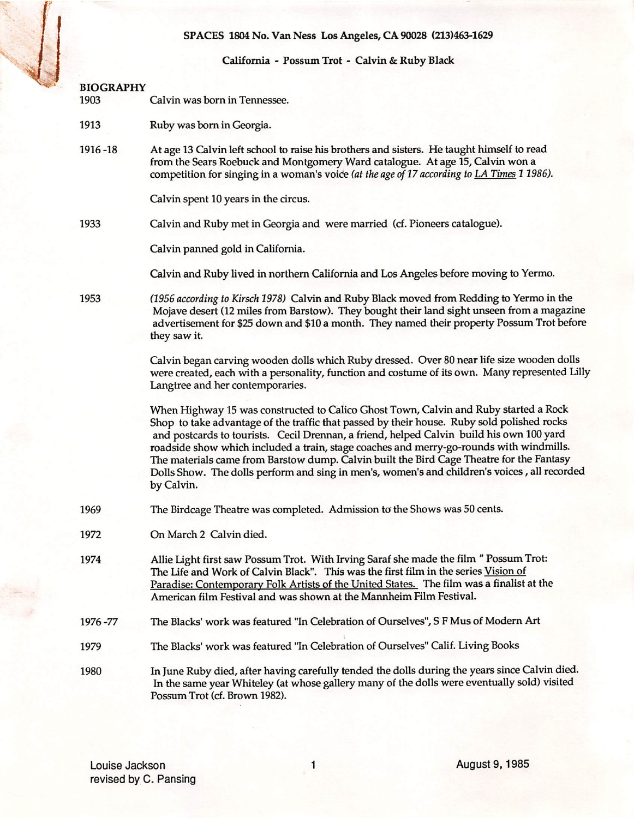# SPACES 1804 No, Van Ness Los Angeles, CA 90028 (213)463-1629

# California - Possum Trot - Calvin & Ruby Black BIOGRAPHY 1903 Calvin was born in Tennessee. 1913 Ruby was bom in Georgia. 1916 -18 At age 13 Calvin left school to raise his brothers and sisters. He taught himself to read from the Sears Roebuck and Montgomery Ward catalogue. At age 15, Calvin won a competition for singing in a woman's voice (at the age of 17 according to LA Times 1 1986). Calvin spent 10 years in the circus. 1933 Calvin and Ruby met in Georgia and were married (cf. Pioneers catalogue). Calvin panned gold in California. Calvin and Ruby lived in northern California and Los Angeles before moving to Yermo. 1953 (1S56 according to Kirsch 1978) Calvin and Ruby Black moved from Redding to Yermo in the Mojave desert (12 miles from Barstow), They bought their land sight unseen from a magazine advertisement for \$25 down and \$10 a month. They named their property Possum Trot before they saw it, Calvin began carving wooden dolls which Ruby dressed. Over 80 near life size wooden dolls were created, each with a personality, function and costume of its own. Many represented Lilly Langtree and her contemporaries. When Highway 15 was constructed to Calico Ghost Town, Calvin and Ruby started a Rock Shop to take advantage of the traffic that passed by their house. Ruby sold polished rocks and postcards to tourists. Cecil Drennan, a friend, helped Calvin build his own 100 yard roadside show which included a train, stage coaches and merry-go-rounds with windmills. The materials came from Barstow dump. Calvin built the Bird Cage Theatre for the Fantasy Dolls Show. The dolls perform and sing in men's, women's and children's voices, all recorded by Calvin. 1969 The Birdcage Theatre was completed. Admission to the Shows was 50 cents. 1972 On March 2 Calvin died. 1974 Allie Light first saw Possum Trot. With Irving Saraf she made the film " Possum Trot: The Life and Work of Calvin Black". This was the first film in the series Vision of Paradise: Contemporary Folk Artists of the United States. The film was a finalist at the American film Festival and was shown at the Mannheim Film Festival. 1976 -77 The Blacks' work was featured "In Celebration of Ourselves", S F Mus of Modem Art 1979 The Blacks' work was featured "In Celebration of Ourselves" Calif. Living Books 1980 In June Ruby died, after having carefully tended the dolls during the years since Calvin died. In the same year Whiteley (at whose gallery many of the dolls were eventually sold) visited Possum Trot (cf. Brown 1982).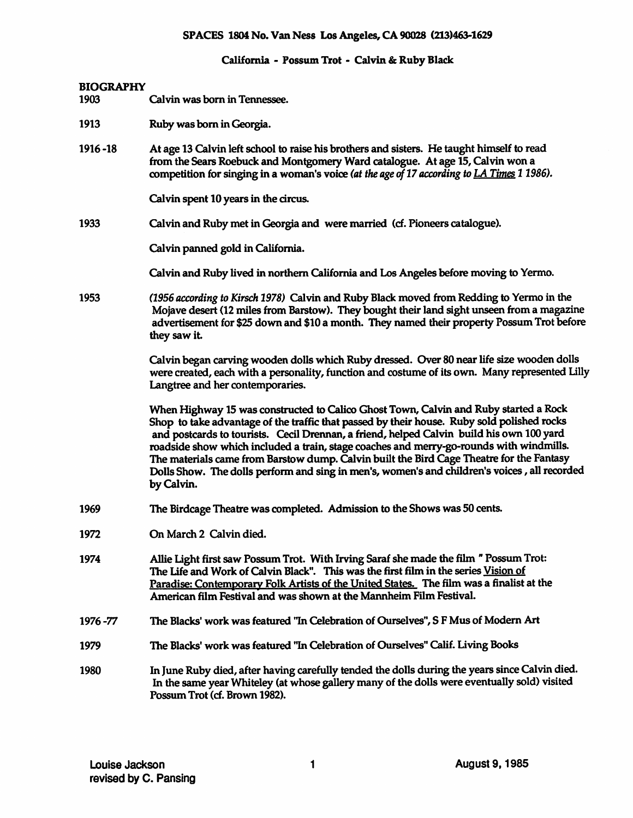# SPACES 1804 No. Van Ness Los Angeles, CA 90028 (213)463-1629

# California - Possum Trot - Calvin & Ruby Black

# BIOGRAPHY

- 1903 Calvin was born in Tennessee.
- 1913 Ruby was born in Georgia.
- 1916 -18 At age 13 Calvin left school to raise his brothers and sisters. He taught himself to read from the Sears Roebuck and Montgomery Ward catalogue. At age 15, Calvin won a competition for singing in a woman's voice (at the age of 17 according to LA Times 1 1986).

Calvin spent 10 years in the circus.

1933 Calvin and Ruby met in Georgia and were married (cf. Pioneers catalogue).

Calvin panned gold in California.

Calvin and Ruby lived in northem California and Los Angeles before moving to Yermo.

1953 (1956 according to Kirsch 1978) Calvin and Ruby Black moved from Redding to Yermo in the Mojave desert (12 miles from Barstow). They bought their land sight unseen from a magazine advertisement for \$25 down and \$10 a month. They named their property Possum Trot before they saw it

> Calvin began carving wooden dolls which Ruby dressed. Over 80 near life size wooden dolls were created, each with a personality, function and costume of its own. Many represented Lilly Langtree and her contemporaries.

When Highway 15 was constructed to Calico Ghost Town, Calvin and Ruby started a Rock Shop to take advantage of the traffic that passed by their house. Ruby sold polished rocks and postcards to tourists. Cecil Drennan, a friend, helped Calvin build his own 100 yard roadside show which included a train, stage coaches and merry-go-rounds with windmills. The materials came from Barstow dump. Calvin built the Bird Cage Theatre for the Fantasy Dolls Show. The dolls perform and sing in men's, women's and children's voices, all recorded by Calvin.

- 1969 The Birdcage Theatre was completed. Admission to the Shows was 50 cents.
- 1972 On March 2 Calvin died.
- 1974 AUie Light first saw Possum Trot. With Irving Saraf she made the film " Possum Trot: The Life and Work of Calvin Black". This was the first film in the series Vision of Paradise: Contemporary Folk Artists of the United States. The film was a finalist at the American film Festival and was shown at the Mannheim Film Festival.
- 1976 -77 The Blacks' work was featured "In Celebration of Ourselves", S F Mus of Modem Art
- 1979 The Blacks' work was featured "In Celebration of Ourselves" Calif. Living Books
- 1980 In June Ruby died, after having carefully tended Ihe dolls during the years since Calvin died. In the same year Whiteley (at whose gallery many of the dolls were eventually sold) visited Possum Trot (cf. Brown 1982).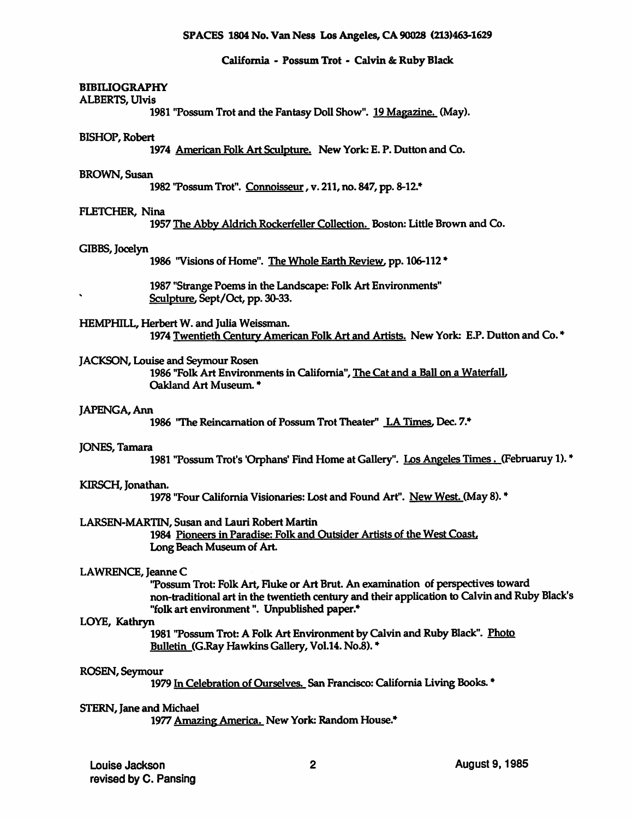# California - Possum Trot - Calvin & Ruby Black

# **BIBILIOGRAPHY**

# ALBERTS, Ulvis

1981 "Possum Trot and the Fantasy Doll Show". 19 Magazine. (May).

# BISHOP, Robert

1974 American Folk Art Sculpture. New York: E. P. Dutton and Co.

# BROWN, Susan

1982 Tossum Trot". Connoisseur, v. 211, no. 847, pp. 8-12.\*

# FLETCHER, Nina

1957 The Abby Aldrich Rockerfeller Collection. Boston: Little Brown and Co,

# GIBBS, Jocelyn

1986 "Visions of Home". The Whole Earth Review, pp. 106-112 \*

1987 "Strange Poems in the Landscape: Folk Art Environments" Sculpture. Sept/Oct, pp. 30-33.

HEMPHILL, Herbert W. and Julia Weissman. 1974 Twentieth Century American Folk Art and Artists. New York: E.P. Dutton and Co.\*

# JACKSON, Louise and Seymour Rosen

1986 "Folk Art Environments in California", The Cat and a Ball on a Waterfall. Oakland Art Museum. \*

# JAPENGA, Ann

1986 "The Reincarnation of Possum Trot Theater" LA Times, Dec. 7.\*

# JONES, Tamara

1981 "Possum Trot's 'Orphans' Find Home at Gallery". Los Angeles Times. (Februaruy 1). \*

# KIRSCH, Jonathan.

1978 "Four (California Visionaries: Lost and Found Art". New West. (May 8). \*

# LARSEN-MARTIN, Susan and Lauri Robert Martin

1984 Pioneers in Paradise: Folk and Outsider Artists of the West Coast Long Beach Museum of Art

# LAWRENCE, Jeanne C

'Possum Trot: Folk Art, Fluke or Art Brut. An examination of perspectives toward non-traditional art in the twentieth century and their application to (Calvin and Ruby Black's "folk art environment". Unpublished paper.\*

LOYE, Kathryn<br>1981 ''Possum Trot: A Folk Art Environment by Calvin and Ruby Black". <u>Photo</u> Bulletin (G.Ray Hawkins Gallery, Vol.14. No.8). \*

# ROSEN, Seymour

1979 In Celebration of Ourselves. San Francisco: California Living Books. \*

# STERN, Jane and Michael

1977 Amazing America. New York: Random House.\*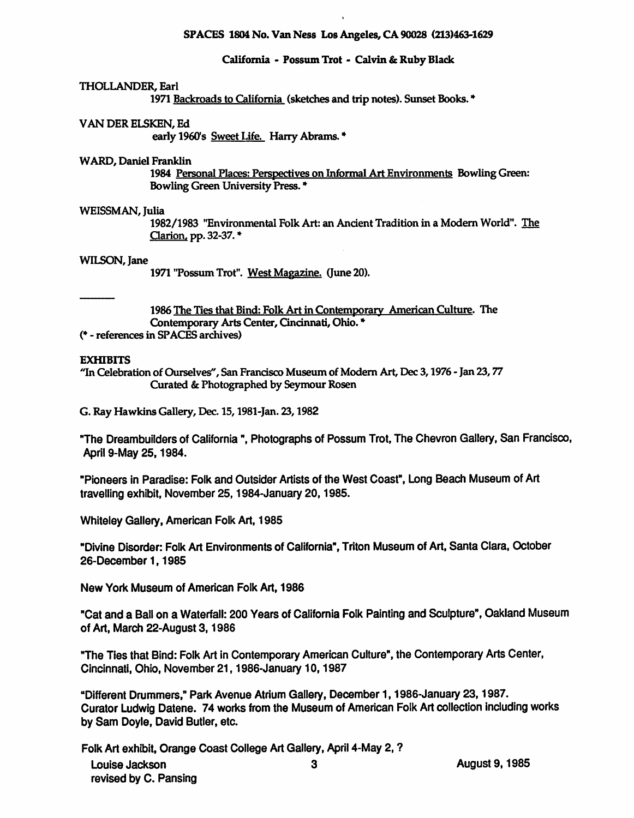# SPACES 1804 No. Van Ness Los Angeles, CA 90028 (213)463-1629

# California - Possum Trot - Calvin & Ruby Black

# THOLLANDER, Earl

1971 Backroads to California (sketches and trip notes). Sunset Books. \*

# VAN DER ELSKEN, Ed

early 1960's Sweet Life. Harry Abrams. \*

# WARD, Daniel Franklin

1984 Personal Places; Perspectives on Informal Art Environments Bowling Green: Bowling Green University Press. \*

# WEISSMAN, Julia

1982/1983 "Environmental Folk Art: an Ancient Tradition in a Modem World". The Clarion, pp. 32-37. \*

### WILSON, Jane

1971 "Possum Trot". West Magazine. (June 20).

1986 The Ties that Bind: Folk Art in Contemporary American Culture. The Contemporary Arts Center, Cincinnati, Ohio. \*

(♦ - references in SPACES ardiives)

# **EXHIBITS**

"In Celebration of Ourselves", San Francisco Museum of Modern Art, Dec 3, 1976 - Jan 23, 77 Curated & Photographed by Seymour Rosen

G. Ray Hawkins Gallery, Dec. 15,1981-Jan. 23,1982

"The Dreambuilders of California", Photographs of Possum Trot, The Chevron Gallery, San Francisco, April 9-May 25,1984.

"Pioneers in Paradise: Folk and Outsider Artists of the West Coast", Long Beach Museum of Art travelling exhibit, November 25,1984-January 20,1985.

Whiteley Gallery, American Folk Art, 1985

"Divine Disorder: Folk Art Environments of California", Triton Museum of Art, Santa Clara, October 26-December 1,1985

New York Museum of American Folk Art, 1986

"Gat and a Ball on a Waterfall: 200 Years of California Folk Painting and Sculpture", Oakland Museum of Art, March 22-August 3, 1986

"The Ties that Bind: Folk Art In Contemporary American Culture", the Contemporary Arts Center, Cincinnati, Ohio, November 21,1986-January 10,1987

"Different Drummers," Park Avenue Atrium Gallery, December 1.1986-January 23,1987. Curator Ludwig Datene. 74 works from the Museum of American Folk Art collection including works by Sam Doyle, David Butler, etc.

Folk Art exhibit. Orange Coast College Art Gallery, April 4-May 2, ? Louise Jackson and 3 revised by C. Pansing

August 9,1985